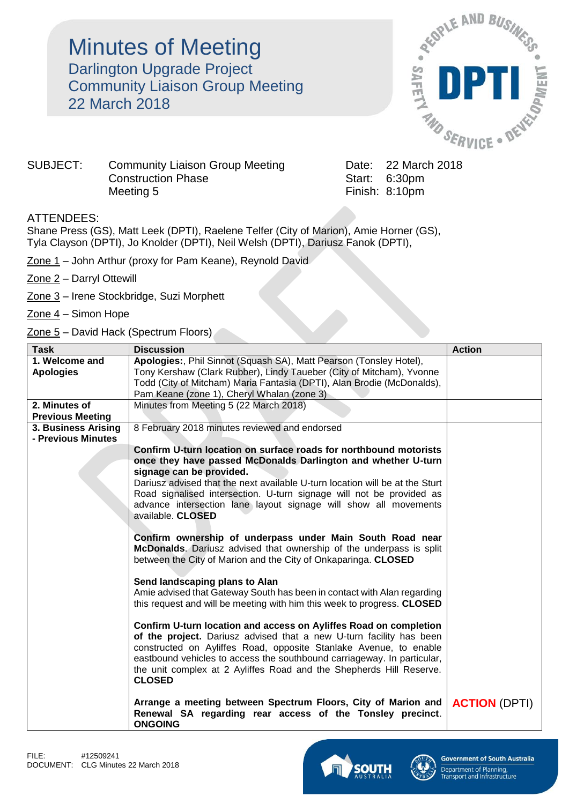## **Minutes of Meeting** Darlington Upgrade Project Community Liaison Group Meeting 22 March 2018



## SUBJECT: Community Liaison Group Meeting Date: 22 March 2018 Construction Phase Start: 6:30pm Meeting 5 **Finish: 8:10pm**

## ATTENDEES:

Shane Press (GS), Matt Leek (DPTI), Raelene Telfer (City of Marion), Amie Horner (GS), Tyla Clayson (DPTI), Jo Knolder (DPTI), Neil Welsh (DPTI), Dariusz Fanok (DPTI),

Zone 1 - John Arthur (proxy for Pam Keane), Reynold David

Zone 2 – Darryl Ottewill

- Zone 3 Irene Stockbridge, Suzi Morphett
- $\frac{Zone 4}$  Simon Hope
- Zone 5 David Hack (Spectrum Floors)

| <b>Task</b>             | <b>Discussion</b>                                                            | <b>Action</b>        |
|-------------------------|------------------------------------------------------------------------------|----------------------|
| 1. Welcome and          | Apologies:, Phil Sinnot (Squash SA), Matt Pearson (Tonsley Hotel),           |                      |
| <b>Apologies</b>        | Tony Kershaw (Clark Rubber), Lindy Taueber (City of Mitcham), Yvonne         |                      |
|                         | Todd (City of Mitcham) Maria Fantasia (DPTI), Alan Brodie (McDonalds),       |                      |
|                         | Pam Keane (zone 1), Cheryl Whalan (zone 3)                                   |                      |
| 2. Minutes of           | Minutes from Meeting 5 (22 March 2018)                                       |                      |
| <b>Previous Meeting</b> |                                                                              |                      |
| 3. Business Arising     | 8 February 2018 minutes reviewed and endorsed                                |                      |
| - Previous Minutes      |                                                                              |                      |
|                         | Confirm U-turn location on surface roads for northbound motorists            |                      |
|                         | once they have passed McDonalds Darlington and whether U-turn                |                      |
|                         | signage can be provided.                                                     |                      |
|                         | Dariusz advised that the next available U-turn location will be at the Sturt |                      |
|                         | Road signalised intersection. U-turn signage will not be provided as         |                      |
|                         | advance intersection lane layout signage will show all movements             |                      |
|                         | available. CLOSED                                                            |                      |
|                         |                                                                              |                      |
|                         | Confirm ownership of underpass under Main South Road near                    |                      |
|                         | McDonalds. Dariusz advised that ownership of the underpass is split          |                      |
|                         | between the City of Marion and the City of Onkaparinga. CLOSED               |                      |
|                         | Send landscaping plans to Alan                                               |                      |
|                         | Amie advised that Gateway South has been in contact with Alan regarding      |                      |
|                         | this request and will be meeting with him this week to progress. CLOSED      |                      |
|                         |                                                                              |                      |
|                         | Confirm U-turn location and access on Ayliffes Road on completion            |                      |
|                         | of the project. Dariusz advised that a new U-turn facility has been          |                      |
|                         | constructed on Ayliffes Road, opposite Stanlake Avenue, to enable            |                      |
|                         | eastbound vehicles to access the southbound carriageway. In particular,      |                      |
|                         | the unit complex at 2 Ayliffes Road and the Shepherds Hill Reserve.          |                      |
|                         | <b>CLOSED</b>                                                                |                      |
|                         |                                                                              |                      |
|                         | Arrange a meeting between Spectrum Floors, City of Marion and                | <b>ACTION (DPTI)</b> |
|                         | Renewal SA regarding rear access of the Tonsley precinct.                    |                      |
|                         | <b>ONGOING</b>                                                               |                      |



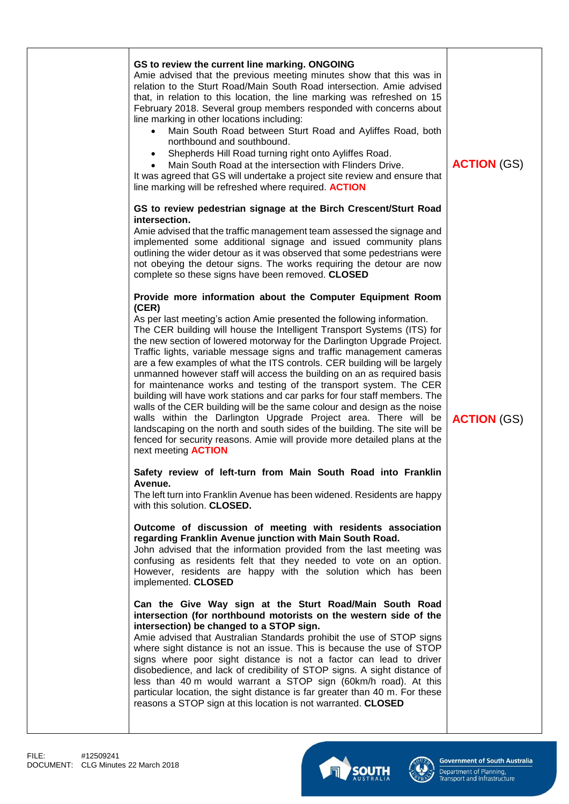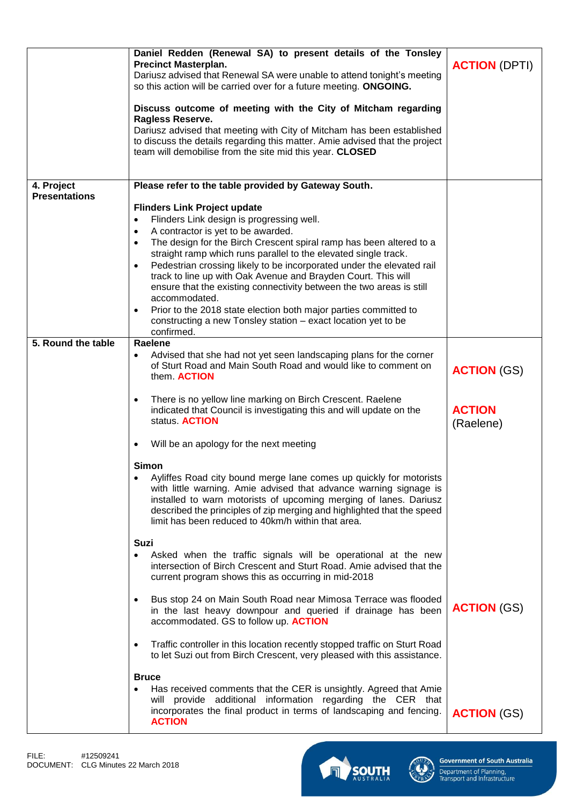|                      | Daniel Redden (Renewal SA) to present details of the Tonsley<br><b>Precinct Masterplan.</b><br>Dariusz advised that Renewal SA were unable to attend tonight's meeting<br>so this action will be carried over for a future meeting. ONGOING.<br>Discuss outcome of meeting with the City of Mitcham regarding                                                                                       | <b>ACTION (DPTI)</b>       |
|----------------------|-----------------------------------------------------------------------------------------------------------------------------------------------------------------------------------------------------------------------------------------------------------------------------------------------------------------------------------------------------------------------------------------------------|----------------------------|
|                      | <b>Ragless Reserve.</b><br>Dariusz advised that meeting with City of Mitcham has been established<br>to discuss the details regarding this matter. Amie advised that the project<br>team will demobilise from the site mid this year. CLOSED                                                                                                                                                        |                            |
| 4. Project           | Please refer to the table provided by Gateway South.                                                                                                                                                                                                                                                                                                                                                |                            |
| <b>Presentations</b> | <b>Flinders Link Project update</b>                                                                                                                                                                                                                                                                                                                                                                 |                            |
|                      | Flinders Link design is progressing well.<br>$\bullet$                                                                                                                                                                                                                                                                                                                                              |                            |
|                      | A contractor is yet to be awarded.<br>$\bullet$                                                                                                                                                                                                                                                                                                                                                     |                            |
|                      | The design for the Birch Crescent spiral ramp has been altered to a<br>$\bullet$<br>straight ramp which runs parallel to the elevated single track.<br>Pedestrian crossing likely to be incorporated under the elevated rail<br>$\bullet$<br>track to line up with Oak Avenue and Brayden Court. This will<br>ensure that the existing connectivity between the two areas is still<br>accommodated. |                            |
|                      | Prior to the 2018 state election both major parties committed to<br>$\bullet$<br>constructing a new Tonsley station - exact location yet to be<br>confirmed.                                                                                                                                                                                                                                        |                            |
| 5. Round the table   | Raelene                                                                                                                                                                                                                                                                                                                                                                                             |                            |
|                      | Advised that she had not yet seen landscaping plans for the corner<br>$\bullet$<br>of Sturt Road and Main South Road and would like to comment on<br>them. ACTION                                                                                                                                                                                                                                   | <b>ACTION (GS)</b>         |
|                      | There is no yellow line marking on Birch Crescent. Raelene<br>$\bullet$<br>indicated that Council is investigating this and will update on the<br>status. <b>ACTION</b>                                                                                                                                                                                                                             | <b>ACTION</b><br>(Raelene) |
|                      | Will be an apology for the next meeting<br>$\bullet$                                                                                                                                                                                                                                                                                                                                                |                            |
|                      | <b>Simon</b><br>Ayliffes Road city bound merge lane comes up quickly for motorists<br>with little warning. Amie advised that advance warning signage is<br>installed to warn motorists of upcoming merging of lanes. Dariusz<br>described the principles of zip merging and highlighted that the speed<br>limit has been reduced to 40km/h within that area.                                        |                            |
|                      | <b>Suzi</b>                                                                                                                                                                                                                                                                                                                                                                                         |                            |
|                      | Asked when the traffic signals will be operational at the new<br>$\bullet$<br>intersection of Birch Crescent and Sturt Road. Amie advised that the<br>current program shows this as occurring in mid-2018                                                                                                                                                                                           |                            |
|                      | Bus stop 24 on Main South Road near Mimosa Terrace was flooded<br>$\bullet$<br>in the last heavy downpour and queried if drainage has been<br>accommodated. GS to follow up. ACTION                                                                                                                                                                                                                 | <b>ACTION (GS)</b>         |
|                      | Traffic controller in this location recently stopped traffic on Sturt Road<br>$\bullet$<br>to let Suzi out from Birch Crescent, very pleased with this assistance.                                                                                                                                                                                                                                  |                            |
|                      | <b>Bruce</b><br>Has received comments that the CER is unsightly. Agreed that Amie<br>will provide additional information regarding the CER that<br>incorporates the final product in terms of landscaping and fencing.<br><b>ACTION</b>                                                                                                                                                             | <b>ACTION (GS)</b>         |



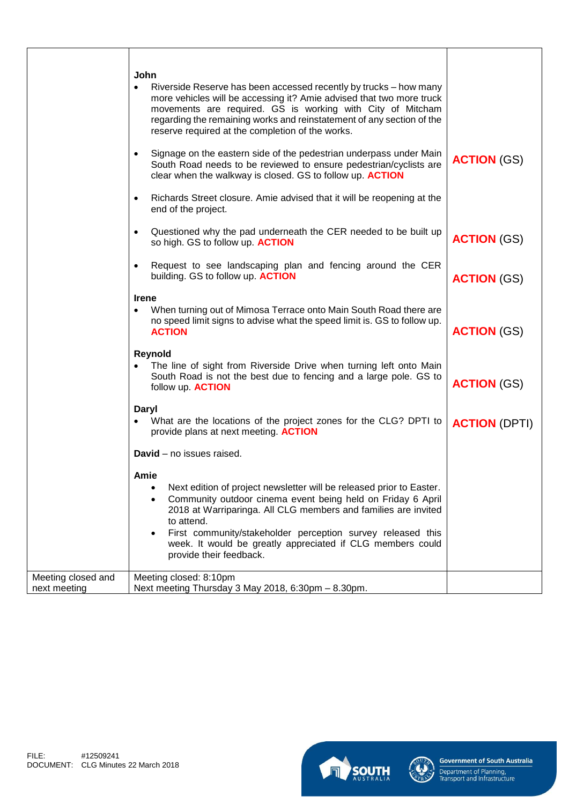|                                    | John<br>Riverside Reserve has been accessed recently by trucks - how many<br>٠<br>more vehicles will be accessing it? Amie advised that two more truck<br>movements are required. GS is working with City of Mitcham<br>regarding the remaining works and reinstatement of any section of the<br>reserve required at the completion of the works.<br>Signage on the eastern side of the pedestrian underpass under Main<br>$\bullet$<br>South Road needs to be reviewed to ensure pedestrian/cyclists are<br>clear when the walkway is closed. GS to follow up. <b>ACTION</b><br>Richards Street closure. Amie advised that it will be reopening at the<br>$\bullet$<br>end of the project. | <b>ACTION (GS)</b>   |
|------------------------------------|---------------------------------------------------------------------------------------------------------------------------------------------------------------------------------------------------------------------------------------------------------------------------------------------------------------------------------------------------------------------------------------------------------------------------------------------------------------------------------------------------------------------------------------------------------------------------------------------------------------------------------------------------------------------------------------------|----------------------|
|                                    | Questioned why the pad underneath the CER needed to be built up<br>٠<br>so high. GS to follow up. ACTION                                                                                                                                                                                                                                                                                                                                                                                                                                                                                                                                                                                    | <b>ACTION (GS)</b>   |
|                                    | Request to see landscaping plan and fencing around the CER<br>$\bullet$<br>building. GS to follow up. ACTION                                                                                                                                                                                                                                                                                                                                                                                                                                                                                                                                                                                | <b>ACTION (GS)</b>   |
|                                    | <b>Irene</b><br>When turning out of Mimosa Terrace onto Main South Road there are<br>$\bullet$<br>no speed limit signs to advise what the speed limit is. GS to follow up.<br><b>ACTION</b>                                                                                                                                                                                                                                                                                                                                                                                                                                                                                                 | <b>ACTION (GS)</b>   |
|                                    | Reynold<br>The line of sight from Riverside Drive when turning left onto Main<br>South Road is not the best due to fencing and a large pole. GS to<br>follow up. <b>ACTION</b>                                                                                                                                                                                                                                                                                                                                                                                                                                                                                                              | <b>ACTION (GS)</b>   |
|                                    | Daryl<br>What are the locations of the project zones for the CLG? DPTI to<br>provide plans at next meeting. ACTION                                                                                                                                                                                                                                                                                                                                                                                                                                                                                                                                                                          | <b>ACTION (DPTI)</b> |
|                                    | <b>David</b> – no issues raised.<br>Amie<br>Next edition of project newsletter will be released prior to Easter.<br>$\bullet$<br>Community outdoor cinema event being held on Friday 6 April<br>$\bullet$<br>2018 at Warriparinga. All CLG members and families are invited<br>to attend.<br>First community/stakeholder perception survey released this<br>week. It would be greatly appreciated if CLG members could<br>provide their feedback.                                                                                                                                                                                                                                           |                      |
| Meeting closed and<br>next meeting | Meeting closed: 8:10pm<br>Next meeting Thursday 3 May 2018, 6:30pm - 8.30pm.                                                                                                                                                                                                                                                                                                                                                                                                                                                                                                                                                                                                                |                      |